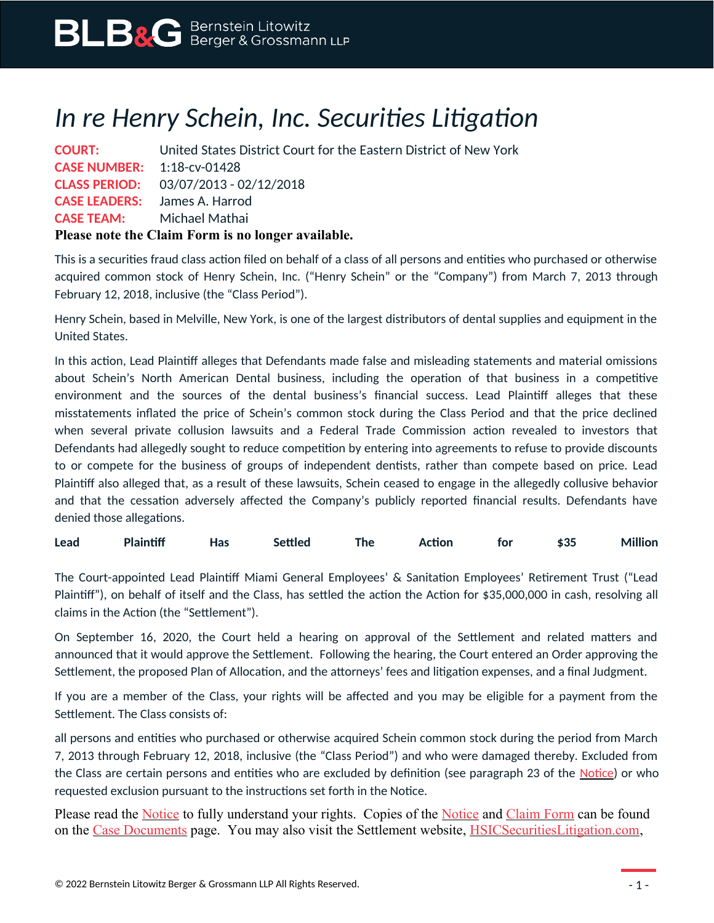## *In re Henry Schein, Inc. Securities Litigation*

|                                   | <b>COURT:</b> United States District Court for the Eastern District of New York |
|-----------------------------------|---------------------------------------------------------------------------------|
| <b>CASE NUMBER:</b> 1:18-cv-01428 |                                                                                 |
|                                   | <b>CLASS PERIOD:</b> 03/07/2013 - 02/12/2018                                    |
|                                   | <b>CASE LEADERS:</b> James A. Harrod                                            |
| <b>CASE TEAM:</b> Michael Mathai  |                                                                                 |
|                                   | Please note the Claim Form is no longer available.                              |

This is a securities fraud class action filed on behalf of a class of all persons and entities who purchased or otherwise acquired common stock of Henry Schein, Inc. ("Henry Schein" or the "Company") from March 7, 2013 through February 12, 2018, inclusive (the "Class Period").

Henry Schein, based in Melville, New York, is one of the largest distributors of dental supplies and equipment in the United States.

In this action, Lead Plaintiff alleges that Defendants made false and misleading statements and material omissions about Schein's North American Dental business, including the operation of that business in a competitive environment and the sources of the dental business's financial success. Lead Plaintiff alleges that these misstatements inflated the price of Schein's common stock during the Class Period and that the price declined when several private collusion lawsuits and a Federal Trade Commission action revealed to investors that Defendants had allegedly sought to reduce competition by entering into agreements to refuse to provide discounts to or compete for the business of groups of independent dentists, rather than compete based on price. Lead Plaintiff also alleged that, as a result of these lawsuits, Schein ceased to engage in the allegedly collusive behavior and that the cessation adversely affected the Company's publicly reported financial results. Defendants have denied those allegations.

| Lead | Plaintiff | Has | Settled | <b>Inc</b> | <b>Action</b> | tor | \$35 | lion<br>Мı |
|------|-----------|-----|---------|------------|---------------|-----|------|------------|
|------|-----------|-----|---------|------------|---------------|-----|------|------------|

The Court-appointed Lead Plaintiff Miami General Employees' & Sanitation Employees' Retirement Trust ("Lead Plaintiff"), on behalf of itself and the Class, has settled the action the Action for \$35,000,000 in cash, resolving all claims in the Action (the "Settlement").

On September 16, 2020, the Court held a hearing on approval of the Settlement and related matters and announced that it would approve the Settlement. Following the hearing, the Court entered an Order approving the Settlement, the proposed Plan of Allocation, and the attorneys' fees and litigation expenses, and a final Judgment.

If you are a member of the Class, your rights will be affected and you may be eligible for a payment from the Settlement. The Class consists of:

all persons and entities who purchased or otherwise acquired Schein common stock during the period from March 7, 2013 through February 12, 2018, inclusive (the "Class Period") and who were damaged thereby. Excluded from the Class are certain persons and entities who are excluded by definition (see paragraph 23 of the <u>[Notice](https://www.blbglaw.com/cases/henry-schein-inc/_res/id=Attachments/index=0/Schein%20-%20Notice.pdf)</u>) or who requested exclusion pursuant to the instructions set forth in the Notice.

Please read the <u>Notice</u> to fully understand your rights. Copies of the <u>Notice</u> and [Claim Form](https://www.blbglaw.com/cases/henry-schein-inc/_res/id=Attachments/index=1/Schein%20-%20Claim%20Form.pdf) can be found on the <u>Case Documents</u> page. You may also visit the Settlement website, **HSICS** ecurities Litigation.com,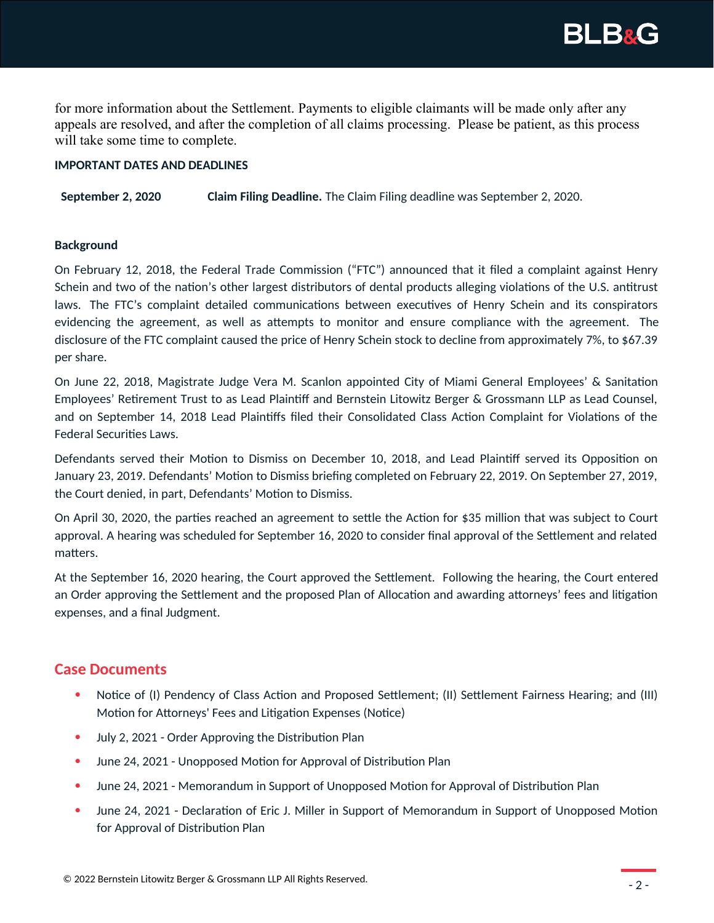

for more information about the Settlement. Payments to eligible claimants will be made only after any appeals are resolved, and after the completion of all claims processing. Please be patient, as this process will take some time to complete.

## **IMPORTANT DATES AND DEADLINES**

**September 2, 2020 Claim Filing Deadline.** The Claim Filing deadline was September 2, 2020.

## **Background**

On February 12, 2018, the Federal Trade Commission ("FTC") announced that it filed a complaint against Henry Schein and two of the nation's other largest distributors of dental products alleging violations of the U.S. antitrust laws. The FTC's complaint detailed communications between executives of Henry Schein and its conspirators evidencing the agreement, as well as attempts to monitor and ensure compliance with the agreement. The disclosure of the FTC complaint caused the price of Henry Schein stock to decline from approximately 7%, to \$67.39 per share.

On June 22, 2018, Magistrate Judge Vera M. Scanlon appointed City of Miami General Employees' & Sanitation Employees' Retirement Trust to as Lead Plaintiff and Bernstein Litowitz Berger & Grossmann LLP as Lead Counsel, and on September 14, 2018 Lead Plaintiffs filed their Consolidated Class Action Complaint for Violations of the Federal Securities Laws.

Defendants served their Motion to Dismiss on December 10, 2018, and Lead Plaintiff served its Opposition on January 23, 2019. Defendants' Motion to Dismiss briefing completed on February 22, 2019. On September 27, 2019, the Court denied, in part, Defendants' Motion to Dismiss.

On April 30, 2020, the parties reached an agreement to settle the Action for \$35 million that was subject to Court approval. A hearing was scheduled for September 16, 2020 to consider final approval of the Settlement and related matters.

At the September 16, 2020 hearing, the Court approved the Settlement. Following the hearing, the Court entered an Order approving the Settlement and the proposed Plan of Allocation and awarding attorneys' fees and litigation expenses, and a final Judgment.

## **Case Documents**

- Notice of (I) Pendency of Class Action and Proposed Settlement; (II) Settlement Fairness Hearing; and (III) Motion for Attorneys' Fees and Litigation Expenses (Notice)
- July 2, 2021 Order Approving the Distribution Plan
- June 24, 2021 Unopposed Motion for Approval of Distribution Plan
- June 24, 2021 Memorandum in Support of Unopposed Motion for Approval of Distribution Plan
- June 24, 2021 Declaration of Eric J. Miller in Support of Memorandum in Support of Unopposed Motion for Approval of Distribution Plan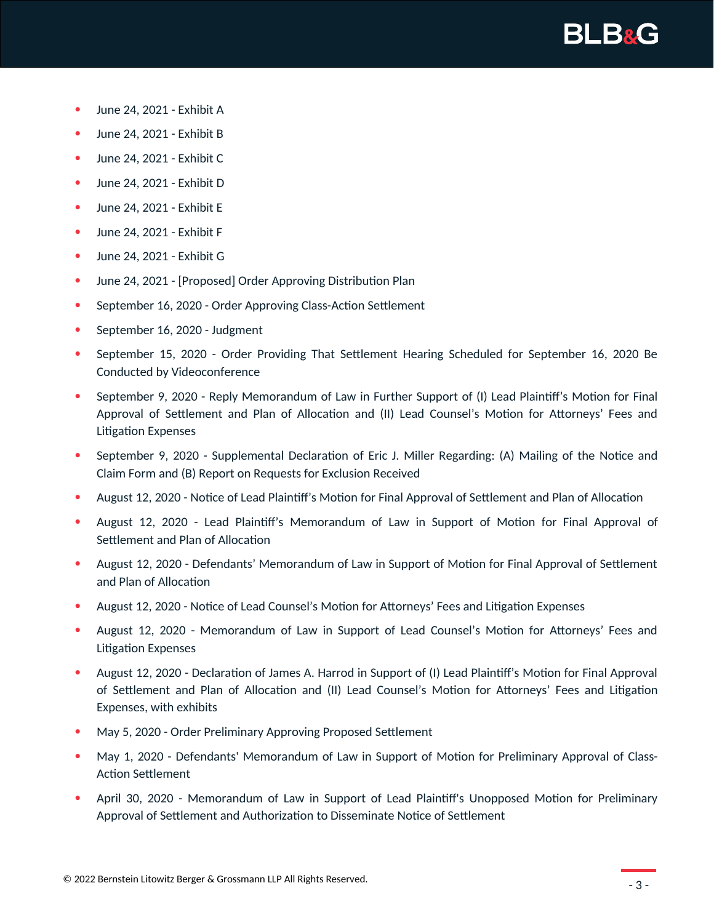

- June 24, 2021 Exhibit A
- June 24, 2021 Exhibit B
- June 24, 2021 Exhibit C
- June 24, 2021 Exhibit D
- June 24, 2021 Exhibit E
- June 24, 2021 Exhibit F
- June 24, 2021 Exhibit G
- June 24, 2021 [Proposed] Order Approving Distribution Plan
- September 16, 2020 Order Approving Class-Action Settlement
- September 16, 2020 Judgment
- September 15, 2020 Order Providing That Settlement Hearing Scheduled for September 16, 2020 Be Conducted by Videoconference
- September 9, 2020 Reply Memorandum of Law in Further Support of (I) Lead Plaintiff's Motion for Final Approval of Settlement and Plan of Allocation and (II) Lead Counsel's Motion for Attorneys' Fees and Litigation Expenses
- September 9, 2020 Supplemental Declaration of Eric J. Miller Regarding: (A) Mailing of the Notice and Claim Form and (B) Report on Requests for Exclusion Received
- August 12, 2020 Notice of Lead Plaintiff's Motion for Final Approval of Settlement and Plan of Allocation
- August 12, 2020 Lead Plaintiff's Memorandum of Law in Support of Motion for Final Approval of Settlement and Plan of Allocation
- August 12, 2020 Defendants' Memorandum of Law in Support of Motion for Final Approval of Settlement and Plan of Allocation
- August 12, 2020 Notice of Lead Counsel's Motion for Attorneys' Fees and Litigation Expenses
- August 12, 2020 Memorandum of Law in Support of Lead Counsel's Motion for Attorneys' Fees and Litigation Expenses
- August 12, 2020 Declaration of James A. Harrod in Support of (I) Lead Plaintiff's Motion for Final Approval of Settlement and Plan of Allocation and (II) Lead Counsel's Motion for Attorneys' Fees and Litigation Expenses, with exhibits
- May 5, 2020 Order Preliminary Approving Proposed Settlement
- May 1, 2020 Defendants' Memorandum of Law in Support of Motion for Preliminary Approval of Class-Action Settlement
- April 30, 2020 Memorandum of Law in Support of Lead Plaintiff's Unopposed Motion for Preliminary Approval of Settlement and Authorization to Disseminate Notice of Settlement